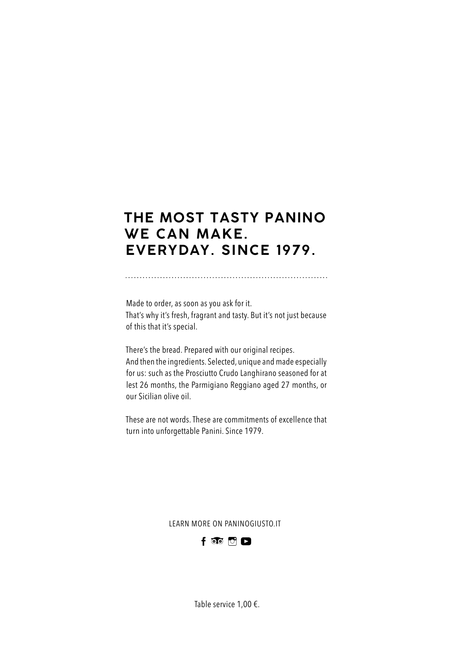# **THE MOST TASTY PANINO WE CAN MAKE. EVERYDAY. SINCE ����.**

Made to order, as soon as you ask for it. That's why it's fresh, fragrant and tasty. But it's not just because of this that it's special.

There's the bread. Prepared with our original recipes. And then the ingredients. Selected, unique and made especially for us: such as the Prosciutto Crudo Langhirano seasoned for at lest 26 months, the Parmigiano Reggiano aged 27 months, or our Sicilian olive oil.

These are not words. These are commitments of excellence that turn into unforgettable Panini. Since 1979.

LEARN MORE ON PANINOGIUSTO.IT



Table service 1,00 €.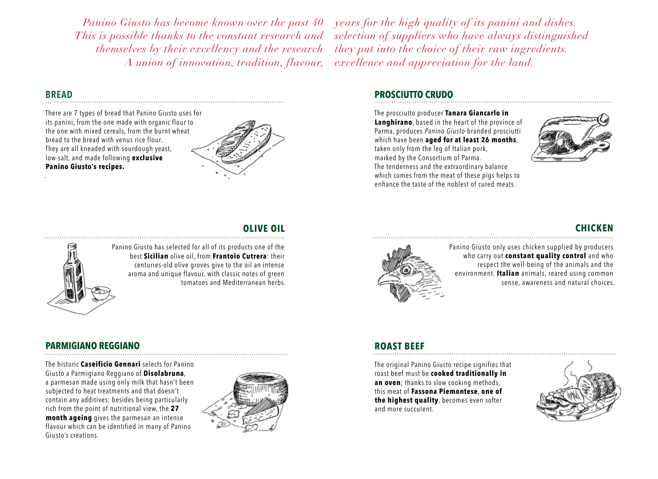*Panino Giusto has become known over the past 40 This is possible thanks to the constant research and themselves by their excellency and the research A union of innovation, tradition, flavour,* 

### **BREAD**

.

There are 7 types of bread that Panino Giusto uses for its panini, from the one made with organic flour to the one with mixed cereals, from the burnt wheat bread to the bread with venus rice flour. They are all kneaded with sourdough yeast, low-salt, and made following **exclusive Panino Giusto's recipes.**



# **OLIVE OIL**



Panino Giusto has selected for all of its products one of the best **Sicilian** olive oil, from **Frantoio Cutrera**: their centuries-old olive groves give to the oil an intense aroma and unique flavour, with classic notes of green tomatoes and Mediterranean herbs.

## **PARMIGIANO REGGIANO**

The historic **Caseificio Gennari** selects for Panino Giusto a Parmigiano Reggiano of **Disolabruna**, a parmesan made using only milk that hasn't been subjected to heat treatments and that doesn't contain any additives; besides being particularly rich from the point of nutritional view, the **27 month ageing** gives the parmesan an intense flavour which can be identified in many of Panino Giusto's creations.



*years for the high quality of its panini and dishes. selection of suppliers who have always distinguished they put into the choice of their raw ingredients. excellence and appreciation for the land.*

### **PROSCIUTTO CRUDO**

The prosciutto producer **Tanara Giancarlo in Langhirano**, based in the heart of the province of Parma, produces *Panino Giusto*-branded prosciutti which have been **aged for at least 26 months**, taken only from the leg of Italian pork, marked by the Consortium of Parma. The tenderness and the extraordinary balance which comes from the meat of these pigs helps to enhance the taste of the noblest of cured meats.



# **CHICKEN**



Panino Giusto only uses chicken supplied by producers who carry out **constant quality control** and who respect the well-being of the animals and the environment. **Italian** animals, reared using common sense, awareness and natural choices.

# **ROAST BEEF**

The original Panino Giusto recipe signifies that roast beef must be **cooked traditionally in an oven**; thanks to slow cooking methods, this meat of **Fassona Piemontese**, **one of the highest quality**, becomes even softer and more succulent.

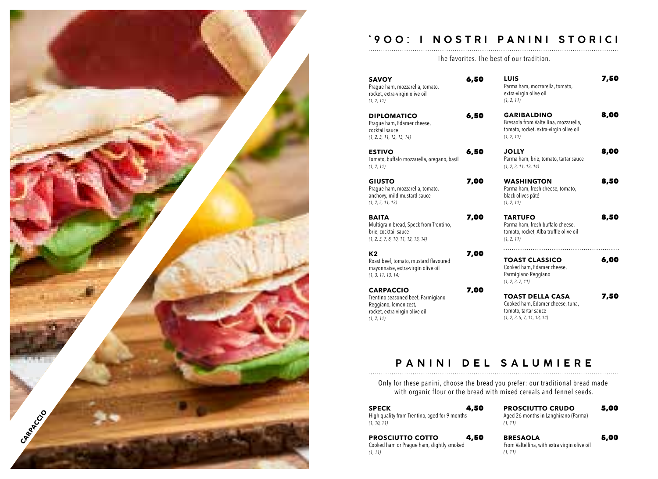

### **' � � � : I NOSTRI PANINI STORICI**

The favorites. The best of our tradition.

- **SAVOY** 6,50 Prague ham, mozzarella, tomato, rocket, extra-virgin olive oil *(1, 2, 11)*
- **DIPLOMATICO** 6,50 Prague ham, Edamer cheese, cocktail sauce *(1, 2, 3, 11, 12, 13, 14)*
- **ESTIVO** 6,50 Tomato, buffalo mozzarella, oregano, basil *(1, 2, 11)*
- **GIUSTO** 7,00 Prague ham, mozzarella, tomato, anchovy, mild mustard sauce *(1, 2, 5, 11, 13)*

**BAITA** 7,00 Multigrain bread, Speck from Trentino, brie, cocktail sauce *(1, 2, 3, 7, 8, 10, 11, 12, 13, 14)*

**K2** 7,00 Roast beef, tomato, mustard flavoured mayonnaise, extra-virgin olive oil *(1, 3, 11, 13, 14)*

**CARPACCIO** 7,00 Trentino seasoned beef, Parmigiano Reggiano, lemon zest, rocket, extra virgin olive oil *(1, 2, 11)*

**LUIS** 7,50 Parma ham, mozzarella, tomato, extra-virgin olive oil *(1, 2, 11)* GARIBALDINO 8,00 Bresaola from Valtellina, mozzarella, tomato, rocket, extra-virgin olive oil *(1, 2, 11)* **JOLLY** 8,00 Parma ham, brie, tomato, tartar sauce *(1, 2, 3, 11, 13, 14)* WASHINGTON 8,50

Parma ham, fresh cheese, tomato, black olives pâté *(1, 2, 11)*

**TARTUFO** 8,50 Parma ham, fresh buffalo cheese, tomato, rocket, Alba truffle olive oil *(1, 2, 11)*

**TOAST CLASSICO** 6,00 Cooked ham, Edamer cheese, Parmigiano Reggiano *(1, 2, 3, 7, 11)*  **TOAST DELLA CASA** 7,50

Cooked ham, Edamer cheese, tuna, tomato, tartar sauce *(1, 2, 3, 5, 7, 11, 13, 14)*

# **PANINI DEL SALUMIERE**

Only for these panini, choose the bread you prefer: our traditional bread made with organic flour or the bread with mixed cereals and fennel seeds.

| 4,50<br><b>SPECK</b>                          |  |
|-----------------------------------------------|--|
| High quality from Trentino, aged for 9 months |  |
| (1, 10, 11)                                   |  |

**PROSCIUTTO CRUDO 5,00** Aged 26 months in Langhirano (Parma) *(1, 11)*

| <b>PROSCIUTTO COTTO</b>                   | 4,50 |
|-------------------------------------------|------|
| Cooked ham or Prague ham, slightly smoked |      |
| (1, 11)                                   |      |

**BRESAOLA** 5,00

From Valtellina, with extra virgin olive oil *(1, 11)*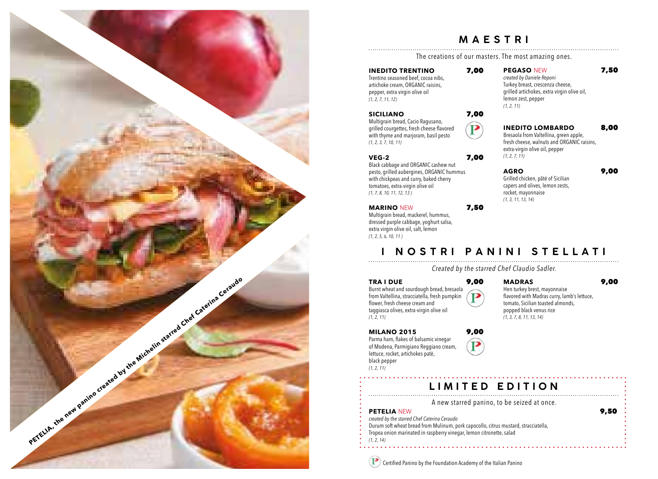

#### **MAESTRI**

The creations of our masters. The most amazing ones.

 $\mathbf{P}$ 

#### **INEDITO TRENTINO** 7,00

Trentino seasoned beef, cocoa nibs, artichoke cream, ORGANIC raisins, pepper, extra virgin olive oil *(1, 2, 7, 11, 12)*

#### **SICILIANO** 7,00

Multigrain bread, Cacio Ragusano, grilled courgettes, fresh cheese flavored with thyme and marjoram, basil pesto *(1, 2, 3, 7, 10, 11)*

#### **VEG-2** 7,00

Black cabbage and ORGANIC cashew nut pesto, grilled aubergines, ORGANIC hummus with chickpeas and curry, baked cherry tomatoes, extra-virgin olive oil *(1, 7, 8, 10, 11, 12, 13 )*

#### **MARINO** NEW 7,50

Multigrain bread, mackerel, hummus, dressed purple cabbage, yoghurt salsa, extra virgin olive oil, salt, lemon *(1, 2, 5, 6, 10, 11 )*

**PEGASO NEW 7,50** *created by Daniele Reponi* Turkey breast, crescenza cheese, grilled artichokes, extra virgin olive oil, lemon zest, pepper *(1, 2, 11)*

#### **INEDITO LOMBARDO 8,00** Bresaola from Valtellina, green apple,

fresh cheese, walnuts and ORGANIC raisins, extra-virgin olive oil, pepper *(1, 2, 7, 11)*

#### **AGRO** 9,00

Grilled chicken, pâté of Sicilian capers and olives, lemon zests, rocket, mayonnaise *(1, 3, 11, 13, 14)*

# **I NOSTRI PANINI STELLATI**

*Created by the starred Chef Claudio Sadler.*

#### **TRA I DUE** 9,00

Burnt wheat and sourdough bread, bresaola from Valtellina, stracciatella, fresh pumpkin Р flower, fresh cheese cream and taggiasca olives, extra-virgin olive oil *(1, 2, 11)*

Hen turkey brest, mayonnaise popped black venus rice

### **MADRAS** 9,00

flavored with Madras curry, lamb's lettuce, tomato, Sicilian toasted almonds, *(1, 3, 7, 8, 11, 13, 14)*

### **MILANO 2015** 9,00

Parma ham, flakes of balsamic vinegar of Modena, Parmigiano Reggiano cream, lettuce, rocket, artichokes patè, black pepper *(1, 2, 11)*

# **LIMITED EDITION**

A new starred panino, to be seized at once.

#### **PETELIA** NEW **9,50**

*created by the starred Chef Caterina Ceraudo*

Durum soft wheat bread from Mulinum, pork capocollo, citrus mustard, stracciatella,

Tropea onion marinated in raspberry vinegar, lemon citronette, salad *(1, 2, 14)*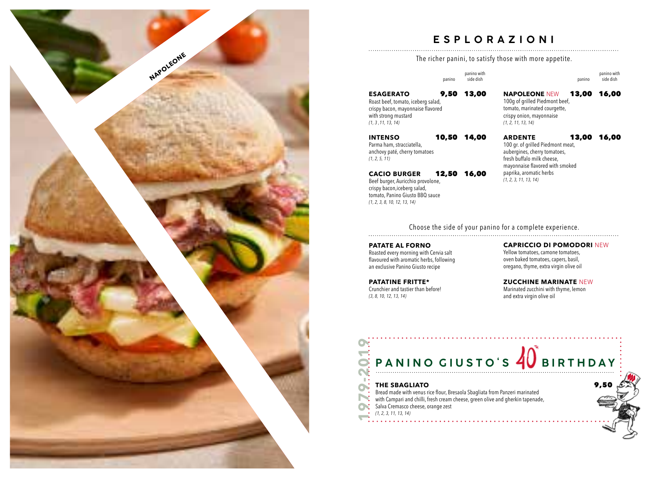

# **ESPLORAZIONI**

The richer panini, to satisfy those with more appetite.

|                                                                                                                                          | panino | panino with<br>side dish |                                                                                                                                          | panino | panino with<br>side dish |
|------------------------------------------------------------------------------------------------------------------------------------------|--------|--------------------------|------------------------------------------------------------------------------------------------------------------------------------------|--------|--------------------------|
| <b>ESAGERATO</b><br>Roast beef, tomato, iceberg salad,<br>crispy bacon, mayonnaise flavored<br>with strong mustard<br>(1, 3, 11, 13, 14) | 9,50   | 13,00                    | <b>NAPOLEONE NEW</b><br>100g of grilled Piedmont beef,<br>tomato, marinated courgette,<br>crispy onion, mayonnaise<br>(1, 2, 11, 13, 14) | 13,00  | 16,00                    |
| <b>INTENSO</b><br>Parma ham, stracciatella,                                                                                              | 10,50  | 14.00                    | <b>ARDENTE</b><br>100 ar. of arilled Piedmont meat.                                                                                      | 13,00  | 16,00                    |

**ARDENTE** 13,00 16,00 100 gr. of grilled Piedmont meat, aubergines, cherry tomatoes, fresh buffalo milk cheese, mayonnaise flavored with smoked paprika, aromatic herbs *(1, 2, 3, 11, 13, 14)*

Choose the side of your panino for a complete experience.

#### **PATATE AL FORNO** Roasted every morning with Cervia salt flavoured with aromatic herbs, following an exclusive Panino Giusto recipe

**CACIO BURGER** 12,50 16,00

**PATATINE FRITTE\*** Crunchier and tastier than before! *(3, 8, 10, 12, 13, 14)*

anchovy paté, cherry tomatoes

Beef burger, Auricchio provolone, crispy bacon,iceberg salad, tomato, Panino Giusto BBQ sauce

*(1, 2, 3, 8, 10, 12, 13, 14)*

*(1, 2, 5, 11)*

**CAPRICCIO DI POMODORI** NEW

Yellow tomatoes, camone tomatoes, oven baked tomatoes, capers, basil, oregano, thyme, extra virgin olive oil

**ZUCCHINE MARINATE** NEW Marinated zucchini with thyme, lemon and extra virgin olive oil



Bread made with venus rice flour, Bresaola Sbagliata from Panzeri marinated with Campari and chilli, fresh cream cheese, green olive and gherkin tapenade, Salva Cremasco cheese, orange zest *(1, 2, 3, 11, 13, 14)*

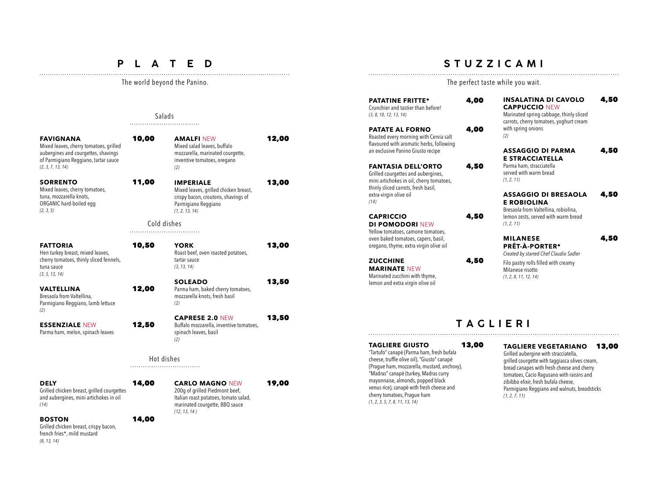## **P L A T E D**

# Salads

**FAVIGNANA** 10,00 Mixed leaves, cherry tomatoes, grilled aubergines and courgettes, shavings of Parmigiano Reggiano, tartar sauce *(2, 3, 7, 13, 14)* **SORRENTO** 11,00 Mixed leaves, cherry tomatoes, tuna, mozzarella knots, ORGANIC hard-boiled egg

*(2, 3, 5)*

**AMALFI NEW 12,00** Mixed salad leaves, buffalo mozzarella, marinated courgette, inventive tomatoes, oregano *(2)* **IMPERIALE** 13,00 Mixed leaves, grilled chicken breast,

#### crispy bacon, croutons, shavings of Parmigiano Reggiano *(1, 2, 13, 14)*

Cold dishes

| FATTORIA<br>Hen turkey breast, mixed leaves,<br>cherry tomatoes, thinly sliced fennels,<br>tuna sauce<br>(3, 5, 13, 14) | 10,50 | <b>YORK</b><br>Roast beef, oven roasted potatoes,<br>tartar sauce<br>(3, 13, 14)                  | 13,00 |
|-------------------------------------------------------------------------------------------------------------------------|-------|---------------------------------------------------------------------------------------------------|-------|
| VALTELLINA<br>Bresaola from Valtellina,<br>Parmigiano Reggiano, lamb lettuce<br>(2)                                     | 12,00 | <b>SOLEADO</b><br>Parma ham, baked cherry tomatoes,<br>mozzarella knots, fresh basil<br>(2)       | 13,50 |
| <b>ESSENZIALE NEW</b><br>Parma ham, melon, spinach leaves                                                               | 12,50 | <b>CAPRESE 2.0 NEW</b><br>Buffalo mozzarella, inventive tomatoes,<br>spinach leaves, basil<br>(2) | 13,50 |
|                                                                                                                         |       | Hot dishes                                                                                        |       |

**DELY** 14,00 Grilled chicken breast, grilled courgettes and aubergines, mini artichokes in oil *(14)*

#### **BOSTON** 14,00

Grilled chicken breast, crispy bacon, french fries\*, mild mustard *(8, 13, 14)*

**CARLO MAGNO** NEW 19,00 200g of grilled Piedmont beef, Italian roast potatoes, tomato salad, marinated courgette, BBQ sauce *(12, 13, 14 )*

# **STUZZICAMI**

The world beyond the Panino. The perfect taste while you wait.

Crunchier and tastier than before!

an exclusive Panino Giusto recipe

Grilled courgettes and aubergines,

thinly sliced carrots, fresh basil, extra-virgin olive oil

**DI POMODORI** NEW

**MARINATE** NEW Marinated zucchini with thyme, lemon and extra virgin olive oil

*(14)*

*(3, 8, 10, 12, 13, 14)*

**PATATINE FRITTE\*** 4.00 PATATE AL FORNO 4.00 Roasted every morning with Cervia salt flavoured with aromatic herbs, following **FANTASIA DELL'ORTO 4,50** mini artichokes in oil, cherry tomatoes, **CAPRICCIO** 4,50 Yellow tomatoes, camone tomatoes, oven baked tomatoes, capers, basil, oregano, thyme, extra virgin olive oil **ZUCCHINE** 4,50 **INSALATINA DI CAVOLO 4.50 CAPPUCCIO** NEW Marinated spring cabbage, thinly sliced carrots, cherry tomatoes, yoghurt cream with spring onions *(2)* **ASSAGGIO DI PARMA 4,50 E STRACCIATELLA** Parma ham, stracciatella served with warm bread *(1, 2, 11)* **ASSAGGIO DI BRESAOLA** 4,50 **E ROBIOLINA** Bresaola from Valtellina, robiolina, lemon zests, served with warm bread *(1, 2, 11)* **MILANESE** 4,50 **PRÊT-À-PORTER\*** *Created by starred Chef Claudio Sadler* Filo pastry rolls filled with creamy Milanese risotto *(1, 2, 8, 11, 12, 14)*

# **TAGLIERI**

#### **TAGLIERE GIUSTO** 13,00 "Tartufo" canapè (Parma ham, fresh bufala cheese, truffle olive oil), "Giusto" canapè (Prague ham, mozzarella, mustard, anchovy), "Madras" canapè (turkey, Madras curry mayonnaise, almonds, popped black venus rice), canapè with fresh cheese and cherry tomatoes, Prague ham *(1, 2, 3, 5, 7, 8, 11, 13, 14) (1, 2, 7, 11)*

#### **TAGLIERE VEGETARIANO** 13,00

Grilled aubergine with stracciatella, grilled courgette with taggiasca olives cream, bread canapes with fresh cheese and cherry tomatoes, Cacio Ragusano with raisins and zibibbo elixir, fresh bufala cheese, Parmigiano Reggiano and walnuts, breadsticks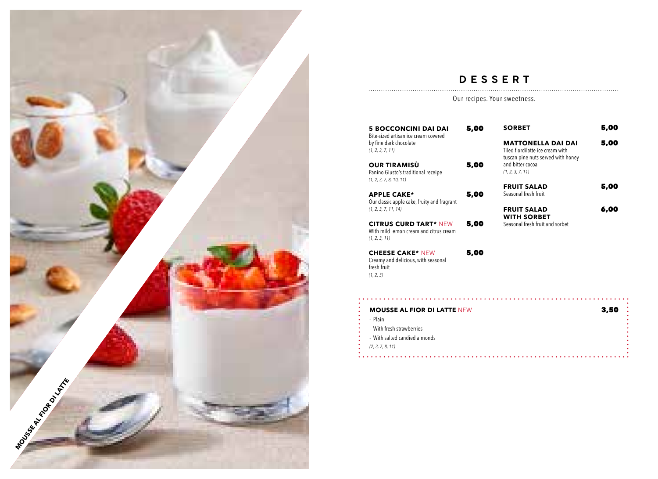

# **DESSERT**

Our recipes. Your sweetness.

| <b>5 BOCCONCINI DAI DAI</b><br>Bite-sized artisan ice cream covered                     | 5,00 | <b>SORBET</b>                                                                                       | 5,00 |
|-----------------------------------------------------------------------------------------|------|-----------------------------------------------------------------------------------------------------|------|
| by fine dark chocolate<br>(1, 2, 3, 7, 11)                                              |      | <b>MATTONELLA DAI DAI</b><br>Tiled fiordilatte ice cream with<br>tuscan pine nuts served with honey | 5,00 |
| <b>OUR TIRAMISÙ</b><br>Panino Giusto's traditional receipe<br>(1, 2, 3, 7, 8, 10, 11)   | 5,00 | and bitter cocoa<br>(1, 2, 3, 7, 11)                                                                |      |
|                                                                                         |      | <b>FRUIT SALAD</b>                                                                                  | 5,00 |
| <b>APPLE CAKE*</b><br>Our classic apple cake, fruity and fragrant                       | 5,00 | Seasonal fresh fruit                                                                                |      |
| (1, 2, 3, 7, 11, 14)                                                                    |      | <b>FRUIT SALAD</b>                                                                                  | 6,00 |
|                                                                                         |      | <b>WITH SORBET</b>                                                                                  |      |
| <b>CITRUS CURD TART* NEW</b><br>With mild lemon cream and citrus cream<br>(1, 2, 3, 11) | 5,00 | Seasonal fresh fruit and sorbet                                                                     |      |

**CHEESE CAKE\*** NEW 5,00 Creamy and delicious, with seasonal fresh fruit *(1, 2, 3)*

 $\ddot{\cdot}$ 

| <b>MOUSSE AL FIOR DI LATTE NEW</b> | 3,50 |
|------------------------------------|------|
| - Plain                            |      |
| - With fresh strawberries          |      |
| - With salted candied almonds      |      |
| (2, 3, 7, 8, 11)                   |      |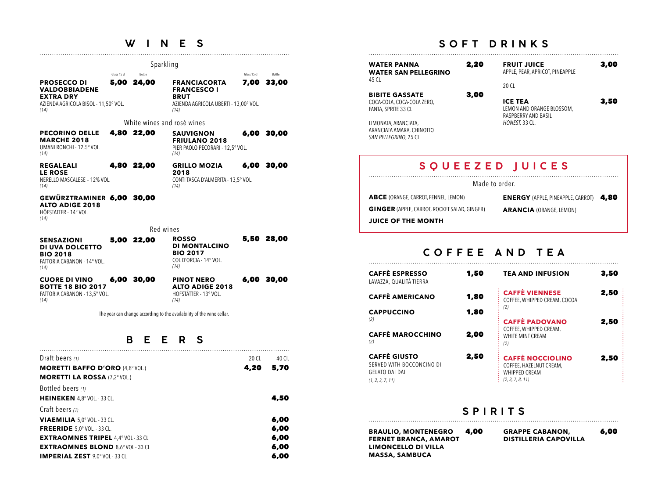# **W I N E S**

|                                                                                                                |                     | Sparkling                  |                                                                                                           |                     |                 |
|----------------------------------------------------------------------------------------------------------------|---------------------|----------------------------|-----------------------------------------------------------------------------------------------------------|---------------------|-----------------|
| <b>PROSECCO DI</b><br><b>VALDOBBIADENE</b><br><b>EXTRA DRY</b><br>AZIENDA AGRICOLA BISOL - 11,50° VOL.<br>(14) | Glass 15 cl<br>5,00 | Bottle<br>24,00            | <b>FRANCIACORTA</b><br><b>FRANCESCO I</b><br><b>BRUT</b><br>AZIENDA AGRICOLA UBERTI - 13,00° VOL.<br>(14) | Glass 15 cl<br>7,00 | Bottle<br>33,00 |
|                                                                                                                |                     | White wines and rose wines |                                                                                                           |                     |                 |
| <b>PECORINO DELLE</b><br><b>MARCHE 2018</b><br>UMANI RONCHI - 12.5° VOL.<br>(14)                               |                     | 4,80 22,00                 | <b>SAUVIGNON</b><br><b>FRIULANO 2018</b><br>PIER PAOLO PECORARI - 12.5° VOL.<br>(14)                      | 6,00                | 30,00           |
| <b>REGALEALI</b><br><b>LE ROSE</b><br>NERELLO MASCALESE - 12% VOL.<br>(14)                                     |                     | 4,80 22,00                 | <b>GRILLO MOZIA</b><br>2018<br>CONTI TASCA D'ALMERITA - 13,5° VOL.<br>(14)                                |                     | 6,00 30,00      |
| GEWÜRZTRAMINER 6,00 30,00<br><b>ALTO ADIGE 2018</b><br>HÖFSTATTER - 14° VOL.<br>(14)                           |                     |                            |                                                                                                           |                     |                 |
|                                                                                                                |                     | Red wines                  |                                                                                                           |                     |                 |
| <b>SENSAZIONI</b><br>DI UVA DOLCETTO<br><b>BIO 2018</b><br>FATTORIA CABANON - 14° VOL.<br>(14)                 |                     | 5,00 22,00                 | <b>ROSSO</b><br><b>DI MONTALCINO</b><br><b>BIO 2017</b><br>COLD'ORCIA - 14° VOL.<br>(14)                  |                     | 5,50 28,00      |
| <b>CUORE DI VINO</b><br><b>BOTTE 18 BIO 2017</b><br>FATTORIA CABANON - 13.5° VOL.<br>(14)                      | 6,00                | 30,00                      | <b>PINOT NERO</b><br><b>ALTO ADIGE 2018</b><br>HOFSTÄTTER - 13° VOL.<br>(14)                              |                     | 6,00 30,00      |
|                                                                                                                |                     |                            | The year can change according to the availability of the wine cellar.                                     |                     |                 |

## **B E E R S**

| Draft beers (1)                           | 20 CL | 40 CL |
|-------------------------------------------|-------|-------|
| <b>MORETTI BAFFO D'ORO (4,8° VOL.)</b>    | 4,20  | 5,70  |
| <b>MORETTI LA ROSSA (7,2° VOL.)</b>       |       |       |
| Bottled beers (1)                         |       |       |
| <b>HEINEKEN</b> 4,8° VOL. - 33 CL.        |       | 4,50  |
| Craft beers (1)                           |       |       |
| <b>VIAEMILIA</b> 5.0° VOL. - 33 CL.       |       | 6,00  |
| <b>FREERIDE</b> $5.0^\circ$ VOL. - 33 CL. |       | 6,00  |
| <b>EXTRAOMNES TRIPEL 4,4° VOL - 33 CL</b> |       | 6,00  |
| <b>EXTRAOMNES BLOND 8.6° VOL - 33 CL</b>  |       | 6,00  |
| <b>IMPERIAL ZEST 9.0° VOL - 33 CL</b>     |       | 6,00  |

# **SOFT DRINKS**

| 2,20<br><b>WATER PANNA</b><br><b>WATER SAN PELLEGRINO</b><br>45 CL                                                                                               | <b>FRUIT JUICE</b><br>APPLE, PEAR, APRICOT, PINEAPPLE                                | 3,00 |
|------------------------------------------------------------------------------------------------------------------------------------------------------------------|--------------------------------------------------------------------------------------|------|
|                                                                                                                                                                  | 20 CL                                                                                |      |
| 3,00<br><b>BIBITE GASSATE</b><br>COCA-COLA, COCA-COLA ZERO,<br>FANTA, SPRITE 33 CL<br>LIMONATA, ARANCIATA,<br>ARANCIATA AMARA, CHINOTTO<br>SAN PELLEGRINO, 25 CL | <b>ICE TEA</b><br>LEMON AND ORANGE BLOSSOM,<br>RASPBERRY AND BASIL<br>HONEST, 33 CL. | 3,50 |
| SOUEEZED JUICES                                                                                                                                                  |                                                                                      |      |
| Made to order.                                                                                                                                                   |                                                                                      |      |
| <b>ABCE</b> (ORANGE, CARROT, FENNEL, LEMON)                                                                                                                      | <b>ENERGY</b> (APPLE, PINEAPPLE, CARROT)                                             | 4,80 |
| <b>GINGER</b> (APPLE, CARROT, ROCKET SALAD, GINGER)                                                                                                              | <b>ARANCIA</b> (ORANGE, LEMON)                                                       |      |
| <b>JUICE OF THE MONTH</b>                                                                                                                                        |                                                                                      |      |

### **COFFEE AND TEA**

| <b>CAFFÈ ESPRESSO</b><br>LAVAZZA, QUALITÀ TIERRA                                              | 1,50 | <b>TEA AND INFUSION</b>                                                                        | 3,50 |
|-----------------------------------------------------------------------------------------------|------|------------------------------------------------------------------------------------------------|------|
| <b>CAFFÈ AMERICANO</b>                                                                        | 1,80 | <b>CAFFÈ VIENNESE</b><br>COFFEE, WHIPPED CREAM, COCOA                                          | 2,50 |
| <b>CAPPUCCINO</b><br>(2)                                                                      | 1,80 | (2)<br><b>CAFFÈ PADOVANO</b>                                                                   | 2,50 |
| <b>CAFFÈ MAROCCHINO</b><br>(2)                                                                | 2,00 | COFFEE, WHIPPED CREAM,<br>WHITE MINT CREAM<br>(2)                                              |      |
| <b>CAFFÈ GIUSTO</b><br>SERVED WITH BOCCONCINO DI<br><b>GELATO DAI DAI</b><br>(1, 2, 3, 7, 11) | 2,50 | <b>CAFFÈ NOCCIOLINO</b><br>COFFEE, HAZELNUT CREAM,<br><b>WHIPPED CREAM</b><br>(2, 3, 7, 8, 11) | 2,50 |

#### **SPIRITS**

| <b>BRAULIO, MONTENEGRO</b>   | 4.00 | <b>GRAPPE CABANON,</b>       | 6.00 |
|------------------------------|------|------------------------------|------|
| <b>FERNET BRANCA, AMAROT</b> |      | <b>DISTILLERIA CAPOVILLA</b> |      |
| LIMONCELLO DI VILLA          |      |                              |      |
| <b>MASSA, SAMBUCA</b>        |      |                              |      |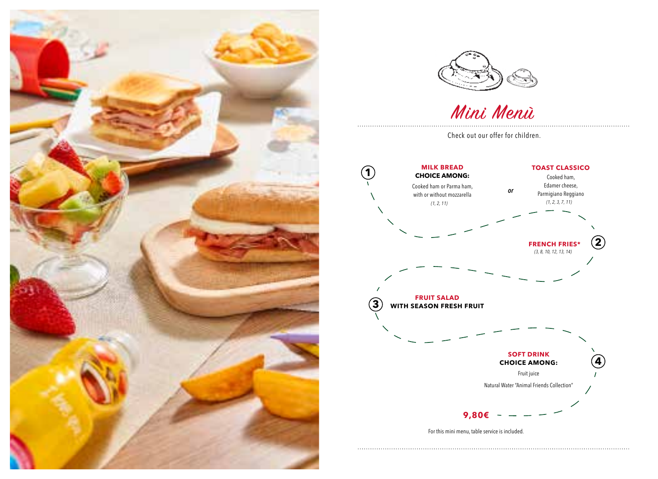



Mini Menù

Check out our offer for children.



For this mini menu, table service is included.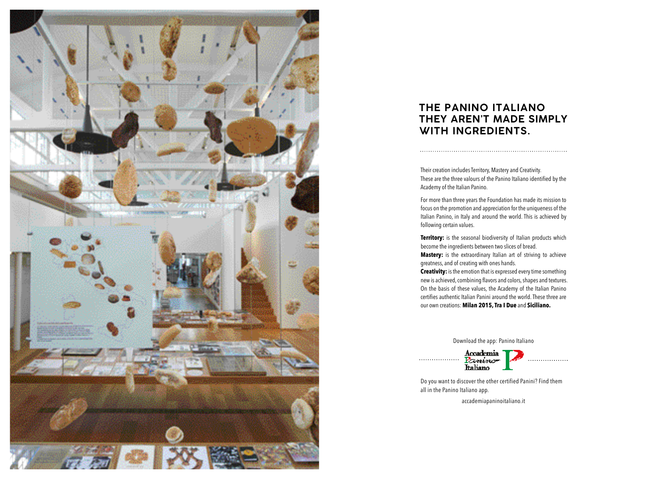

## **THE PANINO ITALIANO THEY AREN'T MADE SIMPLY WITH INGREDIENTS.**

Their creation includes Territory, Mastery and Creativity. These are the three valours of the Panino Italiano identified by the Academy of the Italian Panino.

For more than three years the Foundation has made its mission to focus on the promotion and appreciation for the uniqueness of the Italian Panino, in Italy and around the world. This is achieved by following certain values.

**Territory:** is the seasonal biodiversity of Italian products which become the ingredients between two slices of bread. **Mastery:** is the extraordinary Italian art of striving to achieve greatness, and of creating with ones hands.

**Creativity:** is the emotion that is expressed every time something new is achieved, combining flavors and colors, shapes and textures. On the basis of these values, the Academy of the Italian Panino certifies authentic Italian Panini around the world. These three are our own creations: **Milan 2015, Tra I Due** and **Siciliano.**

Download the app: Panino Italiano

Accademia<br>Fezeriaco<br>Italiano . . . . . . . . . . . . . . . . . .

Do you want to discover the other certified Panini? Find them all in the Panino Italiano app.

accademiapaninoitaliano.it